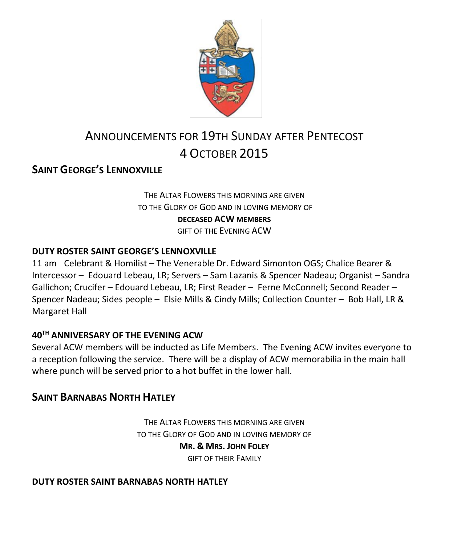

# ANNOUNCEMENTS FOR 19TH SUNDAY AFTER PENTECOST 4 OCTOBER 2015

### **SAINT GEORGE'S LENNOXVILLE**

#### THE ALTAR FLOWERS THIS MORNING ARE GIVEN TO THE GLORY OF GOD AND IN LOVING MEMORY OF **DECEASED ACW MEMBERS** GIFT OF THE EVENING ACW

#### **DUTY ROSTER SAINT GEORGE'S LENNOXVILLE**

11 am Celebrant & Homilist – The Venerable Dr. Edward Simonton OGS; Chalice Bearer & Intercessor – Edouard Lebeau, LR; Servers – Sam Lazanis & Spencer Nadeau; Organist – Sandra Gallichon; Crucifer – Edouard Lebeau, LR; First Reader – Ferne McConnell; Second Reader – Spencer Nadeau; Sides people – Elsie Mills & Cindy Mills; Collection Counter – Bob Hall, LR & Margaret Hall

#### **40TH ANNIVERSARY OF THE EVENING ACW**

Several ACW members will be inducted as Life Members. The Evening ACW invites everyone to a reception following the service. There will be a display of ACW memorabilia in the main hall where punch will be served prior to a hot buffet in the lower hall.

#### **SAINT BARNABAS NORTH HATLEY**

THE ALTAR FLOWERS THIS MORNING ARE GIVEN TO THE GLORY OF GOD AND IN LOVING MEMORY OF **MR. & MRS. JOHN FOLEY** GIFT OF THEIR FAMILY

#### **DUTY ROSTER SAINT BARNABAS NORTH HATLEY**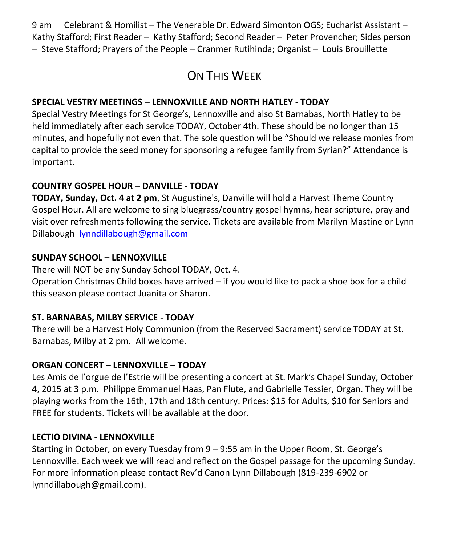9 am Celebrant & Homilist – The Venerable Dr. Edward Simonton OGS; Eucharist Assistant – Kathy Stafford; First Reader – Kathy Stafford; Second Reader – Peter Provencher; Sides person – Steve Stafford; Prayers of the People – Cranmer Rutihinda; Organist – Louis Brouillette

# ON THIS WEEK

#### **SPECIAL VESTRY MEETINGS – LENNOXVILLE AND NORTH HATLEY - TODAY**

Special Vestry Meetings for St George's, Lennoxville and also St Barnabas, North Hatley to be held immediately after each service TODAY, October 4th. These should be no longer than 15 minutes, and hopefully not even that. The sole question will be "Should we release monies from capital to provide the seed money for sponsoring a refugee family from Syrian?" Attendance is important.

#### **COUNTRY GOSPEL HOUR – DANVILLE - TODAY**

**TODAY, Sunday, Oct. 4 at 2 pm**, St Augustine's, Danville will hold a Harvest Theme Country Gospel Hour. All are welcome to sing bluegrass/country gospel hymns, hear scripture, pray and visit over refreshments following the service. Tickets are available from Marilyn Mastine or Lynn Dillabough [lynndillabough@gmail.com](https://webmail.ubishops.ca/owa/redir.aspx?SURL=LJSGhpVMwL0dRQzFjqMxTHTRG7fUsFl3n2l0xYG3EhrjE-OcXb_SCG0AYQBpAGwAdABvADoAbAB5AG4AbgBkAGkAbABsAGEAYgBvAHUAZwBoAEAAZwBtAGEAaQBsAC4AYwBvAG0A&URL=mailto%3alynndillabough%40gmail.com)

#### **SUNDAY SCHOOL – LENNOXVILLE**

There will NOT be any Sunday School TODAY, Oct. 4.

Operation Christmas Child boxes have arrived – if you would like to pack a shoe box for a child this season please contact Juanita or Sharon.

#### **ST. BARNABAS, MILBY SERVICE - TODAY**

There will be a Harvest Holy Communion (from the Reserved Sacrament) service TODAY at St. Barnabas, Milby at 2 pm. All welcome.

#### **ORGAN CONCERT – LENNOXVILLE – TODAY**

Les Amis de l'orgue de l'Estrie will be presenting a concert at St. Mark's Chapel Sunday, October 4, 2015 at 3 p.m. Philippe Emmanuel Haas, Pan Flute, and Gabrielle Tessier, Organ. They will be playing works from the 16th, 17th and 18th century. Prices: \$15 for Adults, \$10 for Seniors and FREE for students. Tickets will be available at the door.

#### **LECTIO DIVINA - LENNOXVILLE**

Starting in October, on every Tuesday from 9 – 9:55 am in the Upper Room, St. George's Lennoxville. Each week we will read and reflect on the Gospel passage for the upcoming Sunday. For more information please contact Rev'd Canon Lynn Dillabough (819-239-6902 or lynndillabough@gmail.com).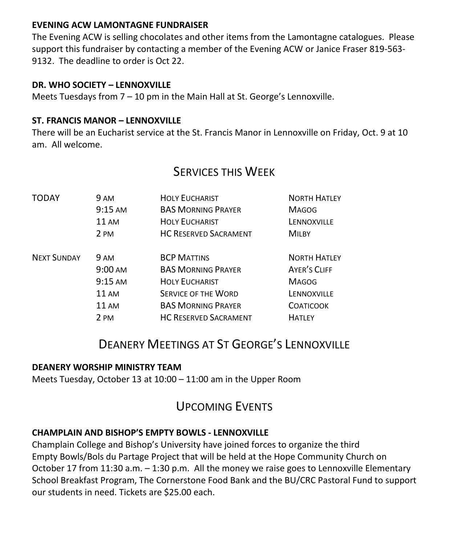#### **EVENING ACW LAMONTAGNE FUNDRAISER**

The Evening ACW is selling chocolates and other items from the Lamontagne catalogues. Please support this fundraiser by contacting a member of the Evening ACW or Janice Fraser 819-563- 9132. The deadline to order is Oct 22.

#### **DR. WHO SOCIETY – LENNOXVILLE**

Meets Tuesdays from 7 – 10 pm in the Main Hall at St. George's Lennoxville.

#### **ST. FRANCIS MANOR – LENNOXVILLE**

There will be an Eucharist service at the St. Francis Manor in Lennoxville on Friday, Oct. 9 at 10 am. All welcome.

### SERVICES THIS WEEK

| TODAY              | 9 AM              | <b>HOLY EUCHARIST</b>        | <b>NORTH HATLEY</b> |
|--------------------|-------------------|------------------------------|---------------------|
|                    | $9:15 \text{ AM}$ | <b>BAS MORNING PRAYER</b>    | <b>MAGOG</b>        |
|                    | <b>11 AM</b>      | <b>HOLY EUCHARIST</b>        | LENNOXVILLE         |
|                    | 2 PM              | <b>HC RESERVED SACRAMENT</b> | <b>MILBY</b>        |
| <b>NEXT SUNDAY</b> | 9 AM              | <b>BCP MATTINS</b>           | <b>NORTH HATLEY</b> |
|                    | $9:00 \text{ AM}$ | <b>BAS MORNING PRAYER</b>    | <b>AYER'S CLIFF</b> |
|                    | $9:15 \text{ AM}$ | <b>HOLY EUCHARIST</b>        | <b>MAGOG</b>        |
|                    | <b>11 AM</b>      | <b>SERVICE OF THE WORD</b>   | LENNOXVILLE         |
|                    | <b>11 AM</b>      | <b>BAS MORNING PRAYER</b>    | <b>COATICOOK</b>    |
|                    | 2 PM              | <b>HC RESERVED SACRAMENT</b> | <b>HATLEY</b>       |

## DEANERY MEETINGS AT ST GEORGE'S LENNOXVILLE

#### **DEANERY WORSHIP MINISTRY TEAM**

Meets Tuesday, October 13 at 10:00 – 11:00 am in the Upper Room

# UPCOMING EVENTS

#### **CHAMPLAIN AND BISHOP'S EMPTY BOWLS - LENNOXVILLE**

Champlain College and Bishop's University have joined forces to organize the third Empty Bowls/Bols du Partage Project that will be held at the Hope Community Church on October 17 from 11:30 a.m. – 1:30 p.m. All the money we raise goes to Lennoxville Elementary School Breakfast Program, The Cornerstone Food Bank and the BU/CRC Pastoral Fund to support our students in need. Tickets are \$25.00 each.